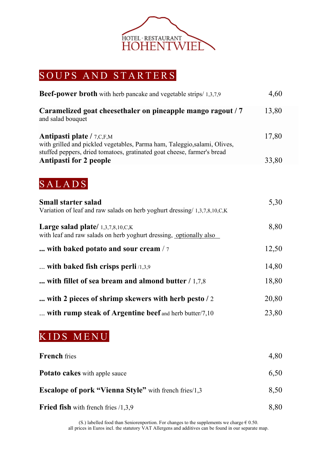

### SOUPS AND STARTERS

| 4,60  |
|-------|
| 13,80 |
| 17,80 |
| 33,80 |
|       |
| 5,30  |
| 8,80  |
| 12,50 |
| 14,80 |
| 18,80 |
| 20,80 |
| 23,80 |
|       |

# KIDS MENU

| <b>French</b> fries                                          | 4,80 |
|--------------------------------------------------------------|------|
| <b>Potato cakes</b> with apple sauce                         | 6,50 |
| <b>Escalope of pork "Vienna Style"</b> with french fries/1,3 | 8,50 |
| <b>Fried fish</b> with french fries $/1,3,9$                 | 8,80 |

(S.) labelled food than Seniorenportion. For changes to the supplements we charge  $\in$  0.50. all prices in Euros incl. the statutory VAT Allergens and additives can be found in our separate map.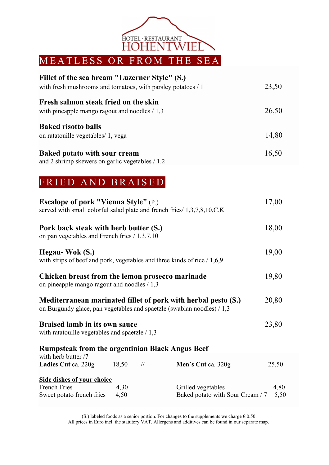

# **Fillet of the sea bream "Luzerner Style" (S.)**  with fresh mushrooms and tomatoes, with parsley potatoes / 1 23,50 **Fresh salmon steak fried on the skin**  with pineapple mango ragout and noodles / 1,3 26,50 **Baked risotto balls**  on ratatouille vegetables/ 1, vega 14,80 **Baked potato with sour cream**  16,50

and 2 shrimp skewers on garlic vegetables / 1.2

## FRIED AND BRAISED

| <b>Escalope of pork "Vienna Style"</b> (P.)<br>served with small colorful salad plate and french fries/ 1,3,7,8,10,C,K                   |              |               |                                                        | 17,00        |  |
|------------------------------------------------------------------------------------------------------------------------------------------|--------------|---------------|--------------------------------------------------------|--------------|--|
| Pork back steak with herb butter (S.)<br>on pan vegetables and French fries $/ 1,3,7,10$                                                 |              |               |                                                        | 18,00        |  |
| Hegau-Wok (S.)<br>with strips of beef and pork, vegetables and three kinds of rice $/ 1,6,9$                                             |              |               |                                                        | 19,00        |  |
| Chicken breast from the lemon prosecco marinade<br>on pineapple mango ragout and noodles / 1,3                                           |              |               | 19,80                                                  |              |  |
| Mediterranean marinated fillet of pork with herbal pesto (S.)<br>on Burgundy glace, pan vegetables and spaetzle (swabian noodles) $/1,3$ |              |               |                                                        | 20,80        |  |
| <b>Braised lamb in its own sauce</b><br>with ratatouille vegetables and spaetzle $/ 1,3$                                                 |              |               | 23,80                                                  |              |  |
| <b>Rumpsteak from the argentinian Black Angus Beef</b>                                                                                   |              |               |                                                        |              |  |
| with herb butter /7<br>Ladies Cut ca. 220g                                                                                               | 18,50        | $\frac{1}{2}$ | Men's Cut ca. 320g                                     | 25,50        |  |
| <b>Side dishes of your choice</b><br><b>French Fries</b><br>Sweet potato french fries                                                    | 4,30<br>4,50 |               | Grilled vegetables<br>Baked potato with Sour Cream / 7 | 4,80<br>5,50 |  |

(S.) labeled foods as a senior portion. For changes to the supplements we charge  $\epsilon$  0.50. All prices in Euro incl. the statutory VAT. Allergens and additives can be found in our separate map.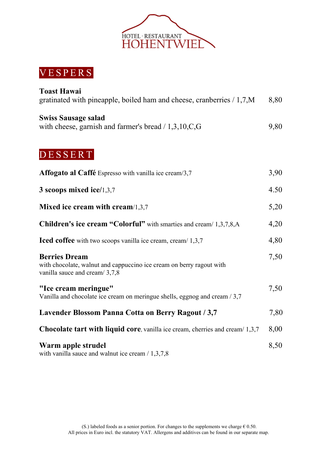

### VESPERS

| <b>Toast Hawai</b><br>gratinated with pineapple, boiled ham and cheese, cranberries / 1,7,M                                   | 8,80 |
|-------------------------------------------------------------------------------------------------------------------------------|------|
| <b>Swiss Sausage salad</b><br>with cheese, garnish and farmer's bread $/ 1,3,10, C, G$                                        | 9,80 |
| DESSERT                                                                                                                       |      |
| Affogato al Caffé Espresso with vanilla ice cream/3,7                                                                         | 3,90 |
| 3 scoops mixed ice/1,3,7                                                                                                      | 4.50 |
| Mixed ice cream with cream $/1,3,7$                                                                                           | 5,20 |
| Children's ice cream "Colorful" with smarties and cream/ 1,3,7,8,A                                                            | 4,20 |
| <b>Iced coffee</b> with two scoops vanilla ice cream, cream/ 1,3,7                                                            | 4,80 |
| <b>Berries Dream</b><br>with chocolate, walnut and cappuccino ice cream on berry ragout with<br>vanilla sauce and cream/3,7,8 | 7,50 |
| "Ice cream meringue"<br>Vanilla and chocolate ice cream on meringue shells, eggnog and cream / 3,7                            | 7,50 |
| Lavender Blossom Panna Cotta on Berry Ragout / 3,7                                                                            | 7,80 |
| <b>Chocolate tart with liquid core</b> , vanilla ice cream, cherries and cream/1,3,7                                          | 8,00 |
| Warm apple strudel<br>with vanilla sauce and walnut ice cream $/ 1,3,7,8$                                                     | 8,50 |